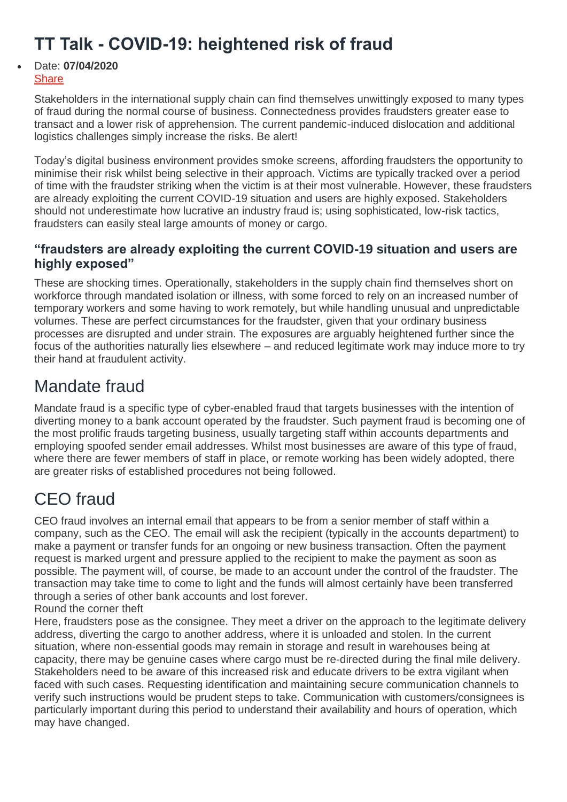## **TT Talk - COVID-19: heightened risk of fraud**

#### Date: **07/04/2020 [Share](https://www.ttclub.com/)**

Stakeholders in the international supply chain can find themselves unwittingly exposed to many types of fraud during the normal course of business. Connectedness provides fraudsters greater ease to transact and a lower risk of apprehension. The current pandemic-induced dislocation and additional logistics challenges simply increase the risks. Be alert!

Today's digital business environment provides smoke screens, affording fraudsters the opportunity to minimise their risk whilst being selective in their approach. Victims are typically tracked over a period of time with the fraudster striking when the victim is at their most vulnerable. However, these fraudsters are already exploiting the current COVID-19 situation and users are highly exposed. Stakeholders should not underestimate how lucrative an industry fraud is; using sophisticated, low-risk tactics, fraudsters can easily steal large amounts of money or cargo.

### **"fraudsters are already exploiting the current COVID-19 situation and users are highly exposed"**

These are shocking times. Operationally, stakeholders in the supply chain find themselves short on workforce through mandated isolation or illness, with some forced to rely on an increased number of temporary workers and some having to work remotely, but while handling unusual and unpredictable volumes. These are perfect circumstances for the fraudster, given that your ordinary business processes are disrupted and under strain. The exposures are arguably heightened further since the focus of the authorities naturally lies elsewhere – and reduced legitimate work may induce more to try their hand at fraudulent activity.

## Mandate fraud

Mandate fraud is a specific type of cyber-enabled fraud that targets businesses with the intention of diverting money to a bank account operated by the fraudster. Such payment fraud is becoming one of the most prolific frauds targeting business, usually targeting staff within accounts departments and employing spoofed sender email addresses. Whilst most businesses are aware of this type of fraud, where there are fewer members of staff in place, or remote working has been widely adopted, there are greater risks of established procedures not being followed.

# CEO fraud

CEO fraud involves an internal email that appears to be from a senior member of staff within a company, such as the CEO. The email will ask the recipient (typically in the accounts department) to make a payment or transfer funds for an ongoing or new business transaction. Often the payment request is marked urgent and pressure applied to the recipient to make the payment as soon as possible. The payment will, of course, be made to an account under the control of the fraudster. The transaction may take time to come to light and the funds will almost certainly have been transferred through a series of other bank accounts and lost forever.

#### Round the corner theft

Here, fraudsters pose as the consignee. They meet a driver on the approach to the legitimate delivery address, diverting the cargo to another address, where it is unloaded and stolen. In the current situation, where non-essential goods may remain in storage and result in warehouses being at capacity, there may be genuine cases where cargo must be re-directed during the final mile delivery. Stakeholders need to be aware of this increased risk and educate drivers to be extra vigilant when faced with such cases. Requesting identification and maintaining secure communication channels to verify such instructions would be prudent steps to take. Communication with customers/consignees is particularly important during this period to understand their availability and hours of operation, which may have changed.